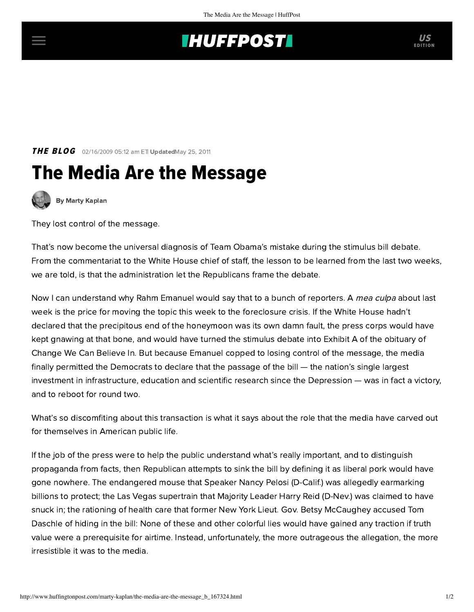## **THUFFPOST**

**THE BLOG** 02/16/2009 05:12 am ETI UpdatedMay 25, 2011

## The Media Are the Message



[By Marty Kaplan](http://www.huffingtonpost.com/author/marty-kaplan)

They lost control of the message.

That's now become the universal diagnosis of Team Obama's mistake during the stimulus bill debate. From the [commentariat](http://www.msnbc.msn.com/id/29099574/) to the White House chief of staff, the lesson to be learned from the last two weeks, we are told, is that the administration let the Republicans frame the debate.

Now I can understand why Rahm Emanuel [would say that](http://online.wsj.com/article/SB123449249590080699.html) to a bunch of reporters. A mea culpa about last week is the price for moving the topic this week to the foreclosure crisis. If the White House hadn't declared that the precipitous end of the honeymoon was its own damn fault, the press corps would have kept gnawing at that bone, and would have turned the stimulus debate into Exhibit A of the obituary of Change We Can Believe In. But because Emanuel copped to losing control of the message, the media finally permitted the Democrats to declare that the passage of the bill — the nation's single largest investment in infrastructure, education and scientific research since the Depression — was in fact a victory, and to reboot for round two.

What's so discomfiting about this transaction is what it says about the role that the media have carved out for themselves in American public life.

If the job of the press were to help the public understand what's really important, and to distinguish propaganda from facts, then Republican attempts to sink the bill by defining it as liberal pork would have gone nowhere. The endangered [mouse](http://www.sfgate.com/cgi-bin/article.cgi?f=/c/a/2009/02/13/EDIS15TRBG.DTL) that Speaker Nancy Pelosi (D-Calif.) was allegedly earmarking billions to protect; the Las Vegas [supertrain](http://www.fair.org/blog/2009/02/13/wpost-stimulus-is-pork/) that Majority Leader Harry Reid (D-Nev.) was claimed to have snuck in; the [rationing of health care](http://healthcare.change.org/blog/view/betsy_mccaugheys_scary_stories_about_health_care_what_needs_to_be_done) that former New York Lieut. Gov. Betsy McCaughey accused Tom Daschle of hiding in the bill: None of these and other colorful lies would have gained any traction if truth value were a prerequisite for airtime. Instead, unfortunately, the more outrageous the allegation, the more irresistible it was to the media.